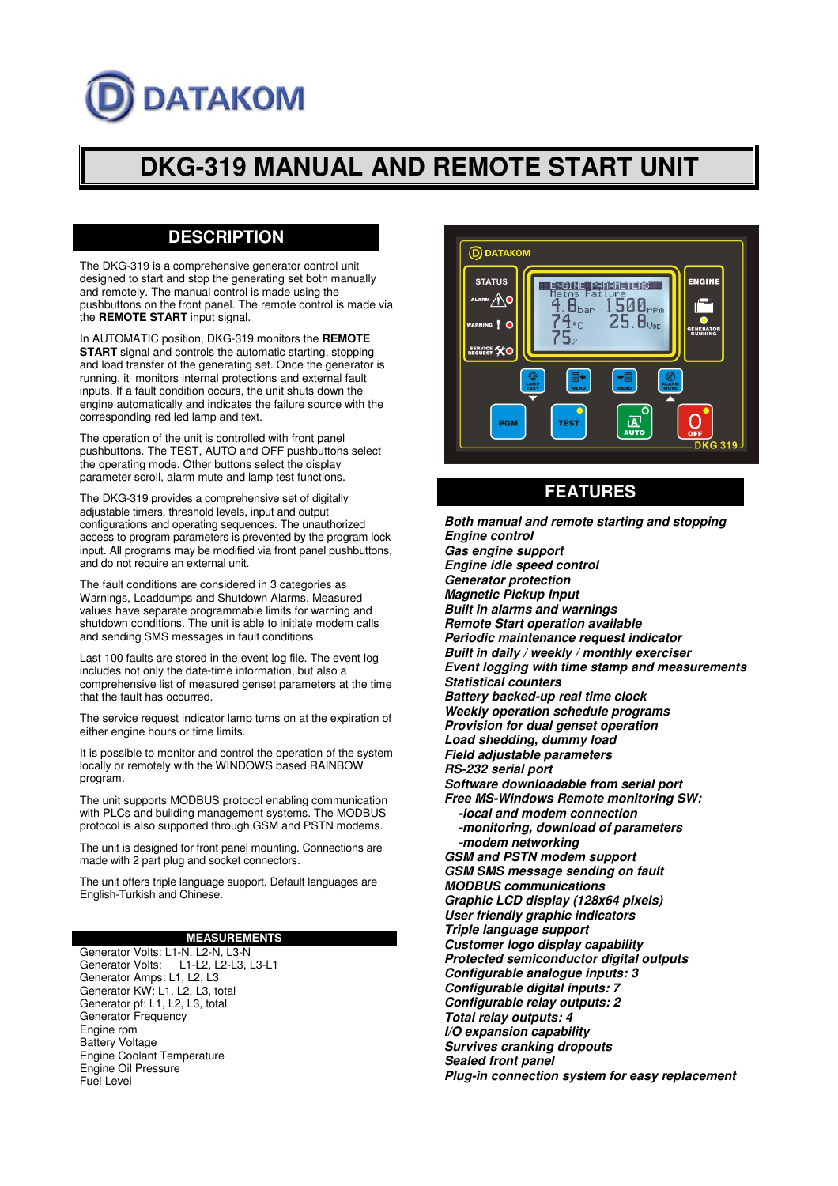# **DATAKOM**

# **DKG-319 MANUAL AND REMOTE START UNIT**

# **DESCRIPTION**

The DKG-319 is a comprehensive generator control unit designed to start and stop the generating set both manually and remotely. The manual control is made using the pushbuttons on the front panel. The remote control is made via the **REMOTE START** input signal.

In AUTOMATIC position, DKG-319 monitors the **REMOTE START** signal and controls the automatic starting, stopping and load transfer of the generating set. Once the generator is running, it monitors internal protections and external fault inputs. If a fault condition occurs, the unit shuts down the engine automatically and indicates the failure source with the corresponding red led lamp and text.

The operation of the unit is controlled with front panel pushbuttons. The TEST, AUTO and OFF pushbuttons select the operating mode. Other buttons select the display parameter scroll, alarm mute and lamp test functions.

The DKG-319 provides a comprehensive set of digitally adjustable timers, threshold levels, input and output configurations and operating sequences. The unauthorized access to program parameters is prevented by the program lock input. All programs may be modified via front panel pushbuttons, and do not require an external unit.

The fault conditions are considered in 3 categories as Warnings, Loaddumps and Shutdown Alarms. Measured values have separate programmable limits for warning and shutdown conditions. The unit is able to initiate modem calls and sending SMS messages in fault conditions.

Last 100 faults are stored in the event log file. The event log includes not only the date-time information, but also a comprehensive list of measured genset parameters at the time that the fault has occurred.

The service request indicator lamp turns on at the expiration of either engine hours or time limits.

It is possible to monitor and control the operation of the system locally or remotely with the WINDOWS based RAINBOW program.

The unit supports MODBUS protocol enabling communication with PLCs and building management systems. The MODBUS protocol is also supported through GSM and PSTN modems.

The unit is designed for front panel mounting. Connections are made with 2 part plug and socket connectors.

The unit offers triple language support. Default languages are English-Turkish and Chinese.

#### **MEASUREMENTS**

Generator Volts: L1-N, L2-N, L3-N Generator Volts: L1-L2, L2-L3, L3-L1 Generator Amps: L1, L2, L3 Generator KW: L1, L2, L3, total Generator pf: L1, L2, L3, total Generator Frequency Engine rpm Battery Voltage Engine Coolant Temperature Engine Oil Pressure Fuel Level



## **FEATURES**

**Both manual and remote starting and stopping Engine control Gas engine support Engine idle speed control Generator protection Magnetic Pickup Input Built in alarms and warnings Remote Start operation available Periodic maintenance request indicator Built in daily / weekly / monthly exerciser Event logging with time stamp and measurements Statistical counters Battery backed-up real time clock Weekly operation schedule programs Provision for dual genset operation Load shedding, dummy load Field adjustable parameters RS-232 serial port Software downloadable from serial port Free MS-Windows Remote monitoring SW: -local and modem connection -monitoring, download of parameters -modem networking GSM and PSTN modem support GSM SMS message sending on fault MODBUS communications Graphic LCD display (128x64 pixels) User friendly graphic indicators Triple language support Customer logo display capability Protected semiconductor digital outputs Configurable analogue inputs: 3 Configurable digital inputs: 7 Configurable relay outputs: 2 Total relay outputs: 4 I/O expansion capability Survives cranking dropouts Sealed front panel Plug-in connection system for easy replacement**